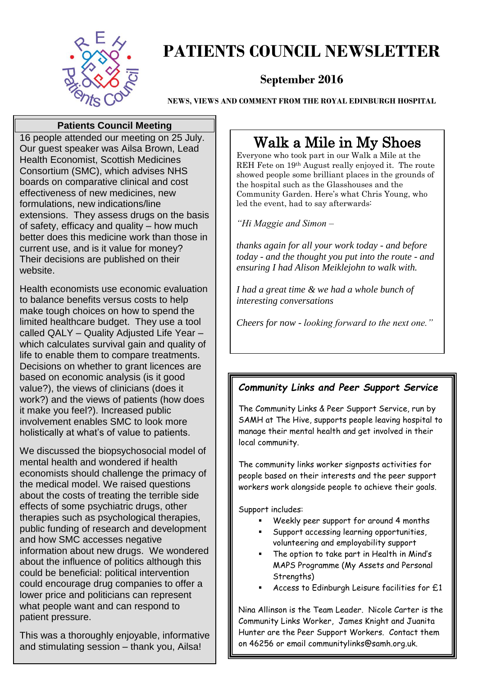

### **PATIENTS COUNCIL NEWSLETTER**

#### **September 2016**

**NEWS, VIEWS AND COMMENT FROM THE ROYAL EDINBURGH HOSPITAL**

#### **Patients Council Meeting**

16 people attended our meeting on 25 July. Our guest speaker was Ailsa Brown, Lead Health Economist, Scottish Medicines Consortium (SMC), which advises NHS boards on comparative clinical and cost effectiveness of new medicines, new formulations, new indications/line extensions. They assess drugs on the basis of safety, efficacy and quality – how much better does this medicine work than those in current use, and is it value for money? Their decisions are published on their website.

Health economists use economic evaluation to balance benefits versus costs to help make tough choices on how to spend the limited healthcare budget. They use a tool called QALY – Quality Adjusted Life Year – which calculates survival gain and quality of life to enable them to compare treatments. Decisions on whether to grant licences are based on economic analysis (is it good value?), the views of clinicians (does it work?) and the views of patients (how does it make you feel?). Increased public involvement enables SMC to look more holistically at what's of value to patients.

We discussed the biopsychosocial model of mental health and wondered if health economists should challenge the primacy of the medical model. We raised questions about the costs of treating the terrible side effects of some psychiatric drugs, other therapies such as psychological therapies, public funding of research and development and how SMC accesses negative information about new drugs. We wondered about the influence of politics although this could be beneficial: political intervention could encourage drug companies to offer a lower price and politicians can represent what people want and can respond to patient pressure.

This was a thoroughly enjoyable, informative and stimulating session – thank you, Ailsa!

#### Walk a Mile in My Shoes

Everyone who took part in our Walk a Mile at the REH Fete on 19th August really enjoyed it. The route showed people some brilliant places in the grounds of the hospital such as the Glasshouses and the Community Garden. Here's what Chris Young, who led the event, had to say afterwards:

*"Hi Maggie and Simon –*

*thanks again for all your work today - and before today - and the thought you put into the route - and ensuring I had Alison Meiklejohn to walk with.*

*I had a great time & we had a whole bunch of interesting conversations*

*Cheers for now - looking forward to the next one."*

 $\overline{a}$ 

#### *Community Links and Peer Support Service*

The Community Links & Peer Support Service, run by SAMH at The Hive, supports people leaving hospital to manage their mental health and get involved in their local community.

The community links worker signposts activities for people based on their interests and the peer support workers work alongside people to achieve their goals.

Support includes:

- Weekly peer support for around 4 months
- Support accessing learning opportunities, volunteering and employability support
- The option to take part in Health in Mind's MAPS Programme (My Assets and Personal Strengths)
- Access to Edinburgh Leisure facilities for £1

Nina Allinson is the Team Leader. Nicole Carter is the Community Links Worker, James Knight and Juanita Hunter are the Peer Support Workers. Contact them on 46256 or email communitylinks@samh.org.uk.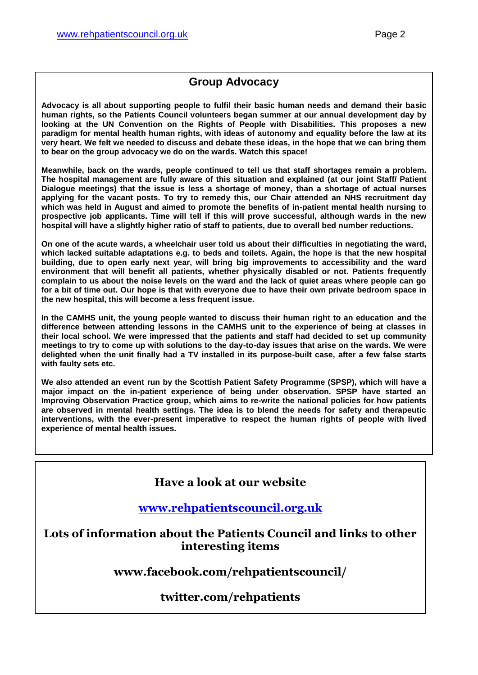#### **Group Advocacy**

**Advocacy is all about supporting people to fulfil their basic human needs and demand their basic human rights, so the Patients Council volunteers began summer at our annual development day by looking at the UN Convention on the Rights of People with Disabilities. This proposes a new paradigm for mental health human rights, with ideas of autonomy and equality before the law at its very heart. We felt we needed to discuss and debate these ideas, in the hope that we can bring them to bear on the group advocacy we do on the wards. Watch this space!**

**Meanwhile, back on the wards, people continued to tell us that staff shortages remain a problem. The hospital management are fully aware of this situation and explained (at our joint Staff/ Patient Dialogue meetings) that the issue is less a shortage of money, than a shortage of actual nurses applying for the vacant posts. To try to remedy this, our Chair attended an NHS recruitment day which was held in August and aimed to promote the benefits of in-patient mental health nursing to prospective job applicants. Time will tell if this will prove successful, although wards in the new hospital will have a slightly higher ratio of staff to patients, due to overall bed number reductions.** 

**On one of the acute wards, a wheelchair user told us about their difficulties in negotiating the ward, which lacked suitable adaptations e.g. to beds and toilets. Again, the hope is that the new hospital building, due to open early next year, will bring big improvements to accessibility and the ward environment that will benefit all patients, whether physically disabled or not. Patients frequently complain to us about the noise levels on the ward and the lack of quiet areas where people can go for a bit of time out. Our hope is that with everyone due to have their own private bedroom space in the new hospital, this will become a less frequent issue.** 

**In the CAMHS unit, the young people wanted to discuss their human right to an education and the difference between attending lessons in the CAMHS unit to the experience of being at classes in their local school. We were impressed that the patients and staff had decided to set up community meetings to try to come up with solutions to the day-to-day issues that arise on the wards. We were delighted when the unit finally had a TV installed in its purpose-built case, after a few false starts with faulty sets etc.**

**We also attended an event run by the Scottish Patient Safety Programme (SPSP), which will have a major impact on the in-patient experience of being under observation. SPSP have started an Improving Observation Practice group, which aims to re-write the national policies for how patients are observed in mental health settings. The idea is to blend the needs for safety and therapeutic interventions, with the ever-present imperative to respect the human rights of people with lived experience of mental health issues.** 

#### **Have a look at our website**

#### **[www.rehpatientscouncil.org.uk](http://www.rehpatientscouncil.org.uk/)**

**Lots of information about the Patients Council and links to other interesting items**

**www.facebook.com/rehpatientscouncil/**

#### **twitter.com/rehpatients**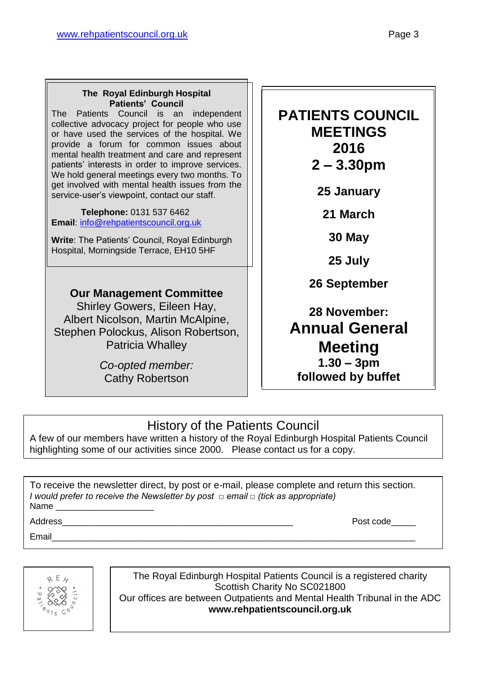#### **The Royal Edinburgh Hospital Patients' Council**

The Patients Council is an independent collective advocacy project for people who use or have used the services of the hospital. We provide a forum for common issues about mental health treatment and care and represent patients' interests in order to improve services. We hold general meetings every two months. To get involved with mental health issues from the service-user's viewpoint, contact our staff.

 **Telephone:** 0131 537 6462 **Email**: [info@rehpatientscouncil.org.uk](mailto:info@rehpatientscouncil.org.uk)

**Write**: The Patients' Council, Royal Edinburgh Hospital, Morningside Terrace, EH10 5HF

#### **Our Management Committee**

Shirley Gowers, Eileen Hay, Albert Nicolson, Martin McAlpine, Stephen Polockus, Alison Robertson, Patricia Whalley

> *Co-opted member:* Cathy Robertson

#### **PATIENTS COUNCIL MEETINGS 2016 2 – 3.30pm**

**25 January**

**21 March**

**30 May**

**25 July**

**26 September**

**28 November: Annual General Meeting 1.30 – 3pm followed by buffet** 

#### History of the Patients Council

A few of our members have written a history of the Royal Edinburgh Hospital Patients Council highlighting some of our activities since 2000. Please contact us for a copy.

To receive the newsletter direct, by post or e-mail, please complete and return this section. *I would prefer to receive the Newsletter by post □ email □ (tick as appropriate)* Name

Address **Address Post code** 

Email\_\_\_\_\_\_\_\_\_\_\_\_\_\_\_\_\_\_\_\_\_\_\_\_\_\_\_\_\_\_\_\_\_\_\_\_\_\_\_\_\_\_\_\_\_\_\_\_\_\_\_\_\_\_\_\_\_\_\_\_\_\_\_\_\_\_\_\_\_\_\_\_\_\_



The Royal Edinburgh Hospital Patients Council is a registered charity Scottish Charity No SC021800 Our offices are between Outpatients and Mental Health Tribunal in the ADC **www.rehpatientscouncil.org.uk**